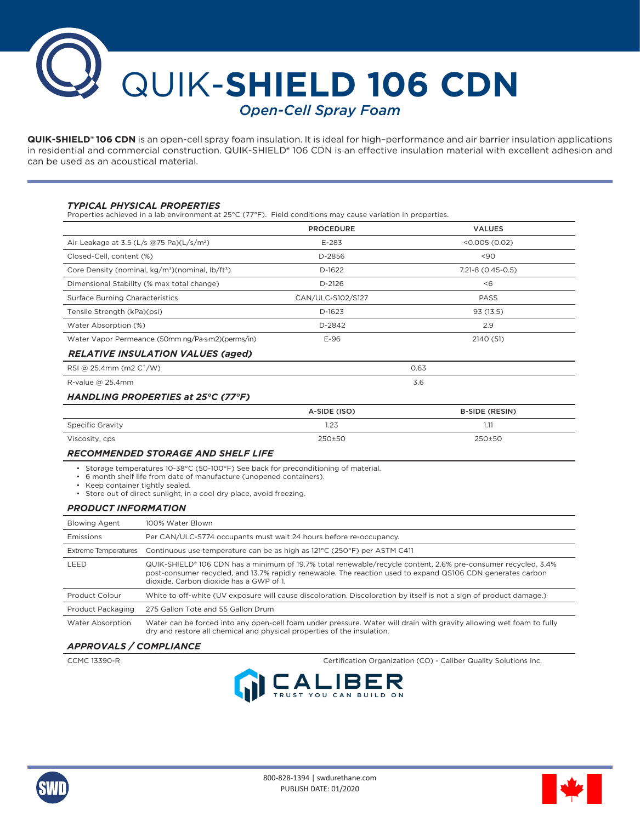

**QUIK-SHIELD® 106 CDN** is an open-cell spray foam insulation. It is ideal for high–performance and air barrier insulation applications in residential and commercial construction. QUIK-SHIELD**®** 106 CDN is an effective insulation material with excellent adhesion and can be used as an acoustical material.

## *TYPICAL PHYSICAL PROPERTIES*

Properties achieved in a lab environment at 25°C (77°F). Field conditions may cause variation in properties.

|                                                                          |                                                                                                                                                                                                                                                                         | <b>PROCEDURE</b>  | <b>VALUES</b>         |
|--------------------------------------------------------------------------|-------------------------------------------------------------------------------------------------------------------------------------------------------------------------------------------------------------------------------------------------------------------------|-------------------|-----------------------|
| Air Leakage at 3.5 (L/s @75 Pa)(L/s/m <sup>2</sup> )                     |                                                                                                                                                                                                                                                                         | $E-283$           | < 0.005(0.02)         |
| Closed-Cell. content (%)                                                 |                                                                                                                                                                                                                                                                         | D-2856            | $90$                  |
| Core Density (nominal, kg/m <sup>3</sup> )(nominal, lb/ft <sup>3</sup> ) |                                                                                                                                                                                                                                                                         | D-1622            | 7.21-8 (0.45-0.5)     |
| Dimensional Stability (% max total change)                               |                                                                                                                                                                                                                                                                         | $D-2126$          | &5                    |
| <b>Surface Burning Characteristics</b>                                   |                                                                                                                                                                                                                                                                         | CAN/ULC-S102/S127 | <b>PASS</b>           |
| Tensile Strength (kPa)(psi)                                              |                                                                                                                                                                                                                                                                         | D-1623            | 93(13.5)              |
| Water Absorption (%)                                                     |                                                                                                                                                                                                                                                                         | D-2842            | 2.9                   |
| Water Vapor Permeance (50mm ng/Pa·s·m2)(perms/in)                        |                                                                                                                                                                                                                                                                         | $E-96$            | 2140 (51)             |
|                                                                          | <b>RELATIVE INSULATION VALUES (aged)</b>                                                                                                                                                                                                                                |                   |                       |
| RSI @ 25.4mm (m2 C°/W)                                                   |                                                                                                                                                                                                                                                                         | 0.63              |                       |
| R-value $@$ 25.4mm                                                       |                                                                                                                                                                                                                                                                         | 3.6               |                       |
|                                                                          | HANDLING PROPERTIES at 25°C (77°F)                                                                                                                                                                                                                                      |                   |                       |
|                                                                          |                                                                                                                                                                                                                                                                         | A-SIDE (ISO)      | <b>B-SIDE (RESIN)</b> |
| <b>Specific Gravity</b>                                                  |                                                                                                                                                                                                                                                                         | 1.23              | 1.11                  |
| Viscosity, cps                                                           |                                                                                                                                                                                                                                                                         | 250±50            | 250±50                |
|                                                                          | <b>RECOMMENDED STORAGE AND SHELF LIFE</b>                                                                                                                                                                                                                               |                   |                       |
| • Keep container tightly sealed.                                         | • Storage temperatures 10-38°C (50-100°F) See back for preconditioning of material.<br>• 6 month shelf life from date of manufacture (unopened containers).<br>• Store out of direct sunlight, in a cool dry place, avoid freezing.                                     |                   |                       |
| <b>PRODUCT INFORMATION</b>                                               |                                                                                                                                                                                                                                                                         |                   |                       |
| <b>Blowing Agent</b>                                                     | 100% Water Blown                                                                                                                                                                                                                                                        |                   |                       |
| Emissions                                                                | Per CAN/ULC-S774 occupants must wait 24 hours before re-occupancy.                                                                                                                                                                                                      |                   |                       |
| <b>Extreme Temperatures</b>                                              | Continuous use temperature can be as high as 121°C (250°F) per ASTM C411                                                                                                                                                                                                |                   |                       |
| LEED                                                                     | QUIK-SHIELD® 106 CDN has a minimum of 19.7% total renewable/recycle content, 2.6% pre-consumer recycled, 3.4%<br>post-consumer recycled, and 13.7% rapidly renewable. The reaction used to expand QS106 CDN generates carbon<br>dioxide. Carbon dioxide has a GWP of 1. |                   |                       |
| Product Colour                                                           | White to off-white (UV exposure will cause discoloration. Discoloration by itself is not a sign of product damage.)                                                                                                                                                     |                   |                       |
| Product Packaging                                                        | 275 Gallon Tote and 55 Gallon Drum                                                                                                                                                                                                                                      |                   |                       |
|                                                                          |                                                                                                                                                                                                                                                                         |                   |                       |

Water Absorption Water can be forced into any open-cell foam under pressure. Water will drain with gravity allowing wet foam to fully dry and restore all chemical and physical properties of the insulation.

# *APPROVALS / COMPLIANCE*

CCMC 13390-R Certification Organization (CO) - Caliber Quality Solutions Inc.